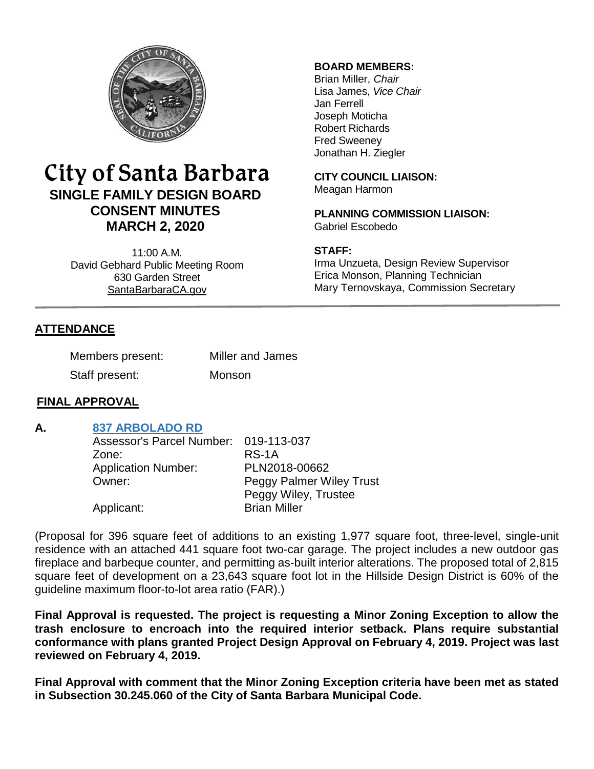

# City of Santa Barbara **SINGLE FAMILY DESIGN BOARD CONSENT MINUTES MARCH 2, 2020**

11:00 A.M. David Gebhard Public Meeting Room 630 Garden Street [SantaBarbaraCA.gov](http://www.santabarbaraca.gov/)

## **BOARD MEMBERS:**

Brian Miller, *Chair* Lisa James, *Vice Chair* Jan Ferrell Joseph Moticha Robert Richards Fred Sweeney Jonathan H. Ziegler

**CITY COUNCIL LIAISON:** Meagan Harmon

**PLANNING COMMISSION LIAISON:** Gabriel Escobedo

#### **STAFF:**

Irma Unzueta, Design Review Supervisor Erica Monson, Planning Technician Mary Ternovskaya, Commission Secretary

# **ATTENDANCE**

| Members present: | Miller and James |
|------------------|------------------|
| Staff present:   | Monson           |

#### **FINAL APPROVAL**

## **A. [837 ARBOLADO RD](https://www.santabarbaraca.gov/SBdocuments/Advisory_Groups/Single_Family_Design_Board/Archive/2020_Archives/03_Architectural_Drawings/2020-03-02_March_2_2020_837_Arbolado_Road.pdf)**

| Assessor's Parcel Number: 019-113-037 |                                 |
|---------------------------------------|---------------------------------|
| Zone:                                 | $RS-1A$                         |
| <b>Application Number:</b>            | PLN2018-00662                   |
| Owner:                                | <b>Peggy Palmer Wiley Trust</b> |
|                                       | Peggy Wiley, Trustee            |
| Applicant:                            | <b>Brian Miller</b>             |

(Proposal for 396 square feet of additions to an existing 1,977 square foot, three-level, single-unit residence with an attached 441 square foot two-car garage. The project includes a new outdoor gas fireplace and barbeque counter, and permitting as-built interior alterations. The proposed total of 2,815 square feet of development on a 23,643 square foot lot in the Hillside Design District is 60% of the guideline maximum floor-to-lot area ratio (FAR).)

**Final Approval is requested. The project is requesting a Minor Zoning Exception to allow the trash enclosure to encroach into the required interior setback. Plans require substantial conformance with plans granted Project Design Approval on February 4, 2019. Project was last reviewed on February 4, 2019.**

**Final Approval with comment that the Minor Zoning Exception criteria have been met as stated in Subsection 30.245.060 of the City of Santa Barbara Municipal Code.**